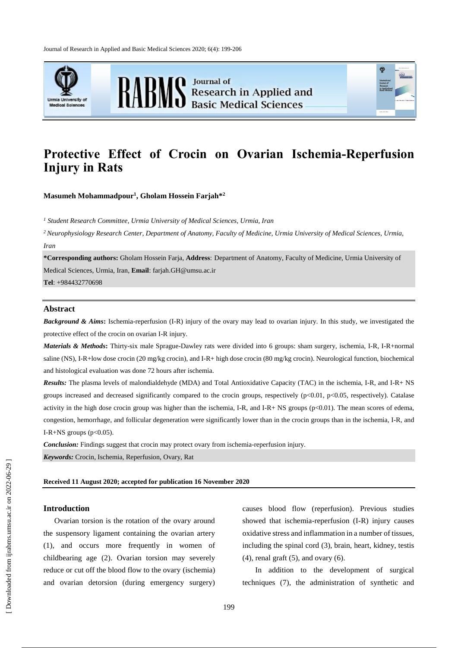Journal of Research in Applied and Basic Medical Sciences 2020; 6(4): 199-206





**RABMS** Basic Medical Sciences

# **Protective Effect of Crocin on Ovarian Ischemia-Reperfusion Injury in Rats**

**Masumeh Mohammadpour<sup>1</sup> , Gholam Hossein Farjah\*<sup>2</sup>**

*<sup>1</sup> Student Research Committee, Urmia University of Medical Sciences, Urmia, Iran*

*<sup>2</sup>Neurophysiology Research Center, Department of Anatomy, Faculty of Medicine, Urmia University of Medical Sciences, Urmia, Iran*

**\*Corresponding authors:** Gholam Hossein Farja, **Address**: Department of Anatomy, Faculty of Medicine, Urmia University of Medical Sciences, Urmia, Iran, **Email**: farjah.GH@umsu.ac.ir

**Tel**: +984432770698

## **Abstract**

*Background & Aims***:** Ischemia-reperfusion (I-R) injury of the ovary may lead to ovarian injury. In this study, we investigated the protective effect of the crocin on ovarian I-R injury.

*Materials & Methods***:** Thirty-six male Sprague-Dawley rats were divided into 6 groups: sham surgery, ischemia, I-R, I-R+normal saline (NS), I-R+low dose crocin (20 mg/kg crocin), and I-R+ high dose crocin (80 mg/kg crocin). Neurological function, biochemical and histological evaluation was done 72 hours after ischemia.

*Results:* The plasma levels of malondialdehyde (MDA) and Total Antioxidative Capacity (TAC) in the ischemia, I-R, and I-R+ NS groups increased and decreased significantly compared to the crocin groups, respectively  $(p<0.01, p<0.05$ , respectively). Catalase activity in the high dose crocin group was higher than the ischemia, I-R, and I-R+ NS groups  $(p<0.01)$ . The mean scores of edema, congestion, hemorrhage, and follicular degeneration were significantly lower than in the crocin groups than in the ischemia, I-R, and I-R+NS groups ( $p<0.05$ ).

*Conclusion:* Findings suggest that crocin may protect ovary from ischemia-reperfusion injury.

*Keywords:* Crocin, Ischemia, Reperfusion, Ovary, Rat

#### **Received 11 August 2020; accepted for publication 16 November 2020**

## **Introduction**

Ovarian torsion is the rotation of the ovary around the suspensory ligament containing the ovarian artery (1), and occurs more frequently in women of childbearing age (2). Ovarian torsion may severely reduce or cut off the blood flow to the ovary (ischemia) and ovarian detorsion (during emergency surgery) causes blood flow (reperfusion). Previous studies showed that ischemia-reperfusion (I-R) injury causes oxidative stress and inflammation in a number of tissues, including the spinal cord (3), brain, heart, kidney, testis  $(4)$ , renal graft  $(5)$ , and ovary  $(6)$ .

In addition to the development of surgical techniques (7), the administration of synthetic and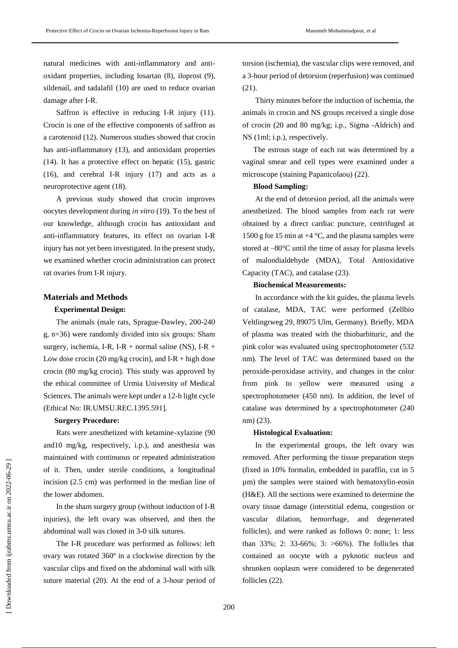natural medicines with anti-inflammatory and antioxidant properties, including losartan (8), iloprost (9), sildenail, and tadalafil (10) are used to reduce ovarian damage after I-R.

Saffron is effective in reducing I-R injury (11). Crocin is one of the effective components of saffron as a carotenoid (12). Numerous studies showed that crocin has anti-inflammatory (13), and antioxidant properties (14). It has a protective effect on hepatic (15), gastric (16), and cerebral I-R injury (17) and acts as a neuroprotective agent (18).

A previous study showed that crocin improves oocytes development during *in vitro* (19). To the best of our knowledge, although crocin has antioxidant and anti-inflammatory features, its effect on ovarian I-R injury has not yet been investigated. In the present study, we examined whether crocin administration can protect rat ovaries from I-R injury.

#### **Materials and Methods**

## **Experimental Design:**

The animals (male rats, Sprague-Dawley, 200-240 g, n=36) were randomly divided into six groups: Sham surgery, ischemia, I-R, I-R + normal saline (NS), I-R + Low dose crocin (20 mg/kg crocin), and I-R + high dose crocin (80 mg/kg crocin). This study was approved by the ethical committee of Urmia University of Medical Sciences. The animals were kept under a 12-h light cycle (Ethical No: IR.UMSU.REC.1395.591].

#### **Surgery Procedure:**

Rats were anesthetized with ketamine-xylazine (90 and10 mg/kg, respectively, i.p.), and anesthesia was maintained with continuous or repeated administration of it. Then, under sterile conditions, a longitudinal incision (2.5 cm) was performed in the median line of the lower abdomen.

In the sham surgery group (without induction of I-R injuries), the left ovary was observed, and then the abdominal wall was closed in 3-0 silk sutures.

The I-R procedure was performed as follows: left ovary was rotated 360º in a clockwise direction by the vascular clips and fixed on the abdominal wall with silk suture material (20). At the end of a 3-hour period of torsion (ischemia), the vascular clips were removed, and a 3-hour period of detorsion (reperfusion) was continued (21).

Thirty minutes before the induction of ischemia, the animals in crocin and NS groups received a single dose of crocin (20 and 80 mg/kg; i.p., Sigma -Aldrich) and NS (1ml; i.p.), respectively.

The estrous stage of each rat was determined by a vaginal smear and cell types were examined under a microscope (staining Papanicolaou) (22).

### **Blood Sampling:**

At the end of detorsion period, all the animals were anesthetized. The blood samples from each rat were obtained by a direct cardiac puncture, centrifuged at 1500 g for 15 min at  $+4$  °C, and the plasma samples were stored at –80°C until the time of assay for plasma levels of malondialdehyde (MDA), Total Antioxidative Capacity (TAC), and catalase (23).

#### **Biochemical Measurements:**

In accordance with the kit guides, the plasma levels of catalase, MDA, TAC were performed (Zellbio Veltlingrweg 29, 89075 Ulm, Germany). Briefly, MDA of plasma was treated with the thiobarbituric, and the pink color was evaluated using spectrophotometer (532 nm). The level of TAC was determined based on the peroxide-peroxidase activity, and changes in the color from pink to yellow were measured using a spectrophotometer (450 nm). In addition, the level of catalase was determined by a spectrophotometer (240 nm) (23).

## **Histological Evaluation:**

In the experimental groups, the left ovary was removed. After performing the tissue preparation steps (fixed in 10% formalin, embedded in paraffin, cut in 5 µm) the samples were stained with hematoxylin-eosin (H&E). All the sections were examined to determine the ovary tissue damage (interstitial edema, congestion or vascular dilation, hemorrhage, and degenerated follicles), and were ranked as follows 0: none; 1: less than 33%; 2: 33-66%; 3: >66%). The follicles that contained an oocyte with a pyknotic nucleus and shrunken ooplasm were considered to be degenerated follicles (22).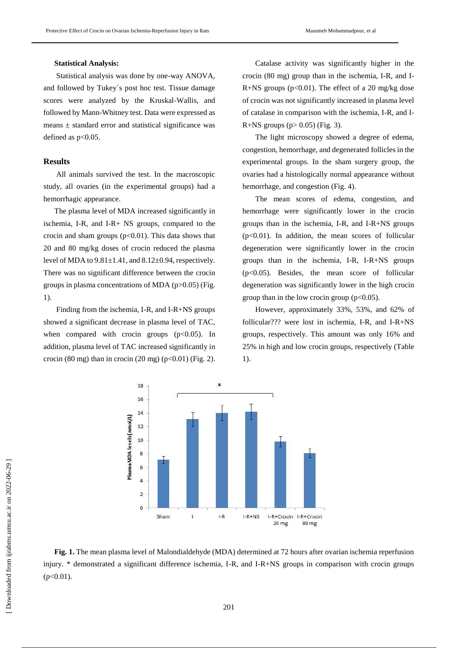## **Statistical Analysis:**

Statistical analysis was done by one-way ANOVA, and followed by Tukey´s post hoc test. Tissue damage scores were analyzed by the Kruskal-Wallis, and followed by Mann-Whitney test. Data were expressed as means  $\pm$  standard error and statistical significance was defined as  $p<0.05$ .

#### **Results**

All animals survived the test. In the macroscopic study, all ovaries (in the experimental groups) had a hemorrhagic appearance.

The plasma level of MDA increased significantly in ischemia, I-R, and I-R+ NS groups, compared to the crocin and sham groups  $(p<0.01)$ . This data shows that 20 and 80 mg/kg doses of crocin reduced the plasma level of MDA to  $9.81 \pm 1.41$ , and  $8.12 \pm 0.94$ , respectively. There was no significant difference between the crocin groups in plasma concentrations of MDA ( $p > 0.05$ ) (Fig. 1).

Finding from the ischemia, I-R, and I-R+NS groups showed a significant decrease in plasma level of TAC, when compared with crocin groups  $(p<0.05)$ . In addition, plasma level of TAC increased significantly in crocin (80 mg) than in crocin (20 mg) ( $p<0.01$ ) (Fig. 2).

Catalase activity was significantly higher in the crocin (80 mg) group than in the ischemia, I-R, and I-R+NS groups  $(p<0.01)$ . The effect of a 20 mg/kg dose of crocin was not significantly increased in plasma level of catalase in comparison with the ischemia, I-R, and I-R+NS groups ( $p > 0.05$ ) (Fig. 3).

The light microscopy showed a degree of edema, congestion, hemorrhage, and degenerated follicles in the experimental groups. In the sham surgery group, the ovaries had a histologically normal appearance without hemorrhage, and congestion (Fig. 4).

The mean scores of edema, congestion, and hemorrhage were significantly lower in the crocin groups than in the ischemia, I-R, and I-R+NS groups  $(p<0.01)$ . In addition, the mean scores of follicular degeneration were significantly lower in the crocin groups than in the ischemia, I-R, I-R+NS groups (p<0.05). Besides, the mean score of follicular degeneration was significantly lower in the high crocin group than in the low crocin group  $(p<0.05)$ .

However, approximately 33%, 53%, and 62% of follicular??? were lost in ischemia, I-R, and I-R+NS groups, respectively. This amount was only 16% and 25% in high and low crocin groups, respectively (Table 1).



**Fig. 1.** The mean plasma level of Malondialdehyde (MDA) determined at 72 hours after ovarian ischemia reperfusion injury. \* demonstrated a significant difference ischemia, I-R, and I-R+NS groups in comparison with crocin groups  $(p<0.01)$ .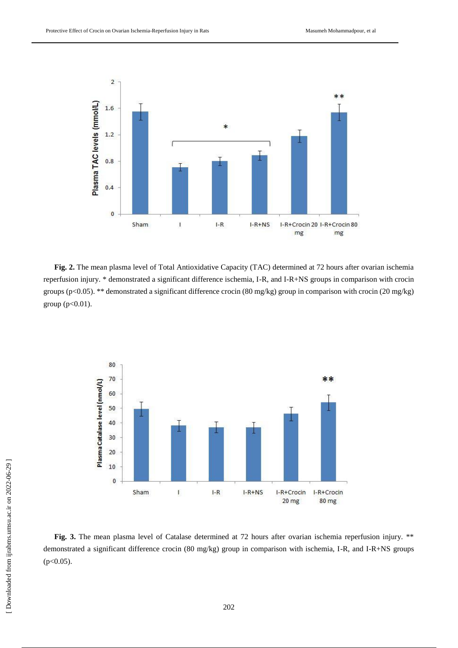

**Fig. 2.** The mean plasma level of Total Antioxidative Capacity (TAC) determined at 72 hours after ovarian ischemia reperfusion injury. \* demonstrated a significant difference ischemia, I-R, and I-R+NS groups in comparison with crocin groups (p<0.05). \*\* demonstrated a significant difference crocin (80 mg/kg) group in comparison with crocin (20 mg/kg) group (p<0.01).



**Fig. 3.** The mean plasma level of Catalase determined at 72 hours after ovarian ischemia reperfusion injury. \*\* demonstrated a significant difference crocin (80 mg/kg) group in comparison with ischemia, I-R, and I-R+NS groups  $(p<0.05)$ .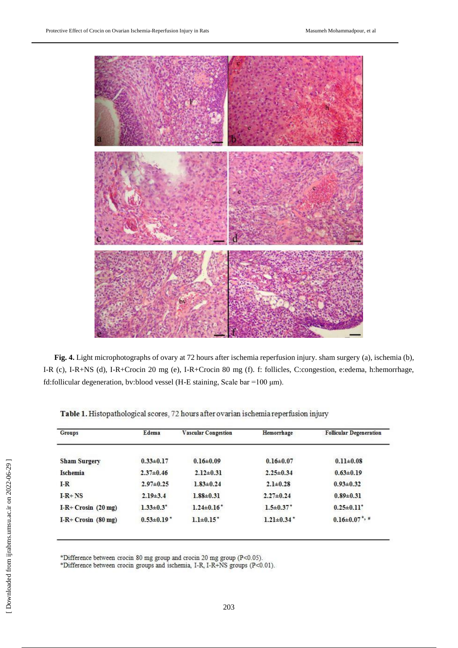

**Fig. 4.** Light microphotographs of ovary at 72 hours after ischemia reperfusion injury. sham surgery (a), ischemia (b), I-R (c), I-R+NS (d), I-R+Crocin 20 mg (e), I-R+Crocin 80 mg (f). f: follicles, C:congestion, e:edema, h:hemorrhage, fd:follicular degeneration, bv:blood vessel (H-E staining, Scale bar =100 μm).

| Groups                        | Edema                        | <b>Vascular Congestion</b> | Hemorrhage                   | <b>Follicular Degeneration</b>   |
|-------------------------------|------------------------------|----------------------------|------------------------------|----------------------------------|
| <b>Sham Surgery</b>           | $0.33 \pm 0.17$              | $0.16 \pm 0.09$            | $0.16 \pm 0.07$              | $0.11 \pm 0.08$                  |
| <b>Ischemia</b>               | $2.37 \pm 0.46$              | $2.12 \pm 0.31$            | $2.25 \pm 0.34$              | $0.63 \pm 0.19$                  |
| $I-R$                         | $2.97 \pm 0.25$              | $1.83 \pm 0.24$            | $2.1 \pm 0.28$               | $0.93 \pm 0.32$                  |
| $I-R+NS$                      | $2.19\pm3.4$                 | $1.88 \pm 0.31$            | $2.27 \pm 0.24$              | $0.89 \pm 0.31$                  |
| I-R+ Crosin $(20 \text{ mg})$ | $1.33 \pm 0.3$ <sup>*</sup>  | $1.24 \pm 0.16^*$          | $1.5 \pm 0.37$ *             | $0.25 \pm 0.11$ <sup>*</sup>     |
| $I-R+ Crosin (80 mg)$         | $0.53 \pm 0.19$ <sup>*</sup> | $1.1\pm0.15*$              | $1.21 \pm 0.34$ <sup>*</sup> | $0.16 \pm 0.07$ <sup>*</sup> , # |

Table 1. Histopathological scores, 72 hours after ovarian ischemia reperfusion injury

\*Difference between crocin 80 mg group and crocin 20 mg group (P<0.05). \*Difference between crocin groups and ischemia, I-R, I-R+NS groups (P<0.01).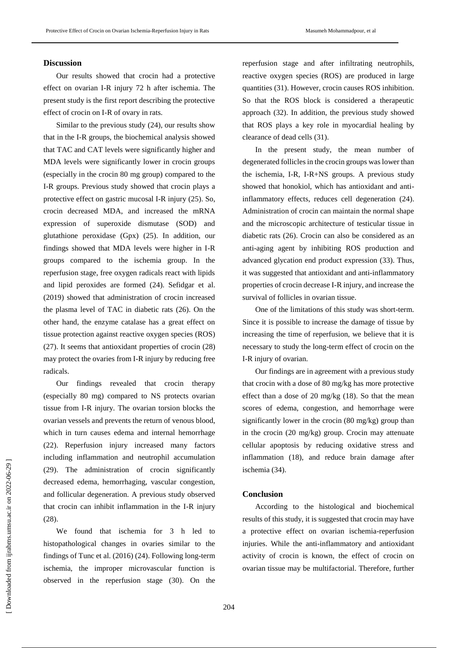## **Discussion**

Our results showed that crocin had a protective effect on ovarian I-R injury 72 h after ischemia. The present study is the first report describing the protective effect of crocin on I-R of ovary in rats.

Similar to the previous study (24), our results show that in the I-R groups, the biochemical analysis showed that TAC and CAT levels were significantly higher and MDA levels were significantly lower in crocin groups (especially in the crocin 80 mg group) compared to the I-R groups. Previous study showed that crocin plays a protective effect on gastric mucosal I-R injury (25). So, crocin decreased MDA, and increased the mRNA expression of superoxide dismutase (SOD) and glutathione peroxidase (Gpx) (25). In addition, our findings showed that MDA levels were higher in I-R groups compared to the ischemia group. In the reperfusion stage, free oxygen radicals react with lipids and lipid peroxides are formed (24). Sefidgar et al. (2019) showed that administration of crocin increased the plasma level of TAC in diabetic rats (26). On the other hand, the enzyme catalase has a great effect on tissue protection against reactive oxygen species (ROS) (27). It seems that antioxidant properties of crocin (28) may protect the ovaries from I-R injury by reducing free radicals.

Our findings revealed that crocin therapy (especially 80 mg) compared to NS protects ovarian tissue from I-R injury. The ovarian torsion blocks the ovarian vessels and prevents the return of venous blood, which in turn causes edema and internal hemorrhage (22). Reperfusion injury increased many factors including inflammation and neutrophil accumulation (29). The administration of crocin significantly decreased edema, hemorrhaging, vascular congestion, and follicular degeneration. A previous study observed that crocin can inhibit inflammation in the I-R injury (28).

We found that ischemia for 3 h led to histopathological changes in ovaries similar to the findings of Tunc et al. (2016) (24). Following long-term ischemia, the improper microvascular function is observed in the reperfusion stage (30). On the

reperfusion stage and after infiltrating neutrophils, reactive oxygen species (ROS) are produced in large quantities (31). However, crocin causes ROS inhibition. So that the ROS block is considered a therapeutic approach (32). In addition, the previous study showed that ROS plays a key role in myocardial healing by clearance of dead cells (31).

In the present study, the mean number of degenerated follicles in the crocin groups waslower than the ischemia, I-R, I-R+NS groups. A previous study showed that honokiol, which has antioxidant and antiinflammatory effects, reduces cell degeneration (24). Administration of crocin can maintain the normal shape and the microscopic architecture of testicular tissue in diabetic rats (26). Crocin can also be considered as an anti-aging agent by inhibiting ROS production and advanced glycation end product expression (33). Thus, it was suggested that antioxidant and anti-inflammatory properties of crocin decrease I-R injury, and increase the survival of follicles in ovarian tissue.

One of the limitations of this study was short-term. Since it is possible to increase the damage of tissue by increasing the time of reperfusion, we believe that it is necessary to study the long-term effect of crocin on the I-R injury of ovarian.

Our findings are in agreement with a previous study that crocin with a dose of 80 mg/kg has more protective effect than a dose of 20 mg/kg (18). So that the mean scores of edema, congestion, and hemorrhage were significantly lower in the crocin (80 mg/kg) group than in the crocin (20 mg/kg) group. Crocin may attenuate cellular apoptosis by reducing oxidative stress and inflammation (18), and reduce brain damage after ischemia (34).

## **Conclusion**

According to the histological and biochemical results of this study, it is suggested that crocin may have a protective effect on ovarian ischemia-reperfusion injuries. While the anti-inflammatory and antioxidant activity of crocin is known, the effect of crocin on ovarian tissue may be multifactorial. Therefore, further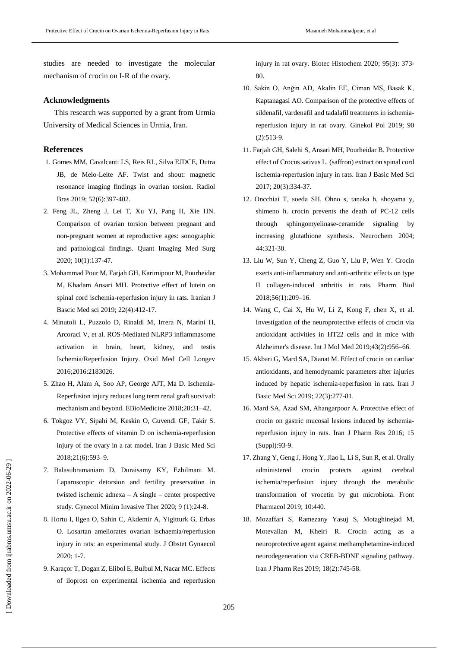studies are needed to investigate the molecular mechanism of crocin on I-R of the ovary.

## **Acknowledgments**

This research was supported by a grant from Urmia University of Medical Sciences in Urmia, Iran.

## **References**

- 1. Gomes MM, Cavalcanti LS, Reis RL, Silva EJDCE, Dutra JB, de Melo-Leite AF. Twist and shout: magnetic resonance imaging findings in ovarian torsion. Radiol Bras 2019; 52(6):397-402.
- 2. Feng JL, Zheng J, Lei T, Xu YJ, Pang H, Xie HN. Comparison of ovarian torsion between pregnant and non-pregnant women at reproductive ages: sonographic and pathological findings. Quant Imaging Med Surg 2020; 10(1):137-47.
- 3. Mohammad Pour M, Farjah GH, Karimipour M, Pourheidar M, Khadam Ansari MH. Protective effect of lutein on spinal cord ischemia-reperfusion injury in rats. Iranian J Bascic Med sci 2019; 22(4):412-17.
- 4. Minutoli L, Puzzolo D, Rinaldi M, Irrera N, Marini H, Arcoraci V, et al. ROS-Mediated NLRP3 inflammasome activation in brain, heart, kidney, and testis Ischemia/Reperfusion Injury. Oxid Med Cell Longev 2016;2016:2183026.
- 5. Zhao H, Alam A, Soo AP, George AJT, Ma D. Ischemia-Reperfusion injury reduces long term renal graft survival: mechanism and beyond. EBioMedicine 2018;28:31–42.
- 6. Tokgoz VY, Sipahi M, Keskin O, Guvendi GF, Takir S. Protective effects of vitamin D on ischemia-reperfusion injury of the ovary in a rat model. Iran J Basic Med Sci 2018;21(6):593–9.
- 7. Balasubramaniam D, Duraisamy KY, Ezhilmani M. Laparoscopic detorsion and fertility preservation in twisted ischemic adnexa – A single – center prospective study. Gynecol Minim Invasive Ther 2020; 9 (1):24-8.
- 8. Hortu I, Ilgen O, Sahin C, Akdemir A, Yigitturk G, Erbas O. Losartan ameliorates ovarian ischaemia/reperfusion injury in rats: an experimental study. J Obstet Gynaecol 2020; 1-7.
- 9. Karaçor T, Dogan Z, Elibol E, Bulbul M, Nacar MC. Effects of iloprost on experimental ischemia and reperfusion

injury in rat ovary. Biotec Histochem 2020; 95(3): 373- 80.

- 10. Sakin O, Anğin AD, Akalin EE, Ciman MS, Basak K, Kaptanagasi AO. Comparison of the protective effects of sildenafil, vardenafil and tadalafil treatments in ischemiareperfusion injury in rat ovary. Ginekol Pol 2019; 90 (2):513-9.
- 11. Farjah GH, Salehi S, Ansari MH, Pourheidar B. Protective effect of Crocus sativus L. (saffron) extract on spinal cord ischemia-reperfusion injury in rats. Iran J Basic Med Sci 2017; 20(3):334-37.
- 12. Oncchiai T, soeda SH, Ohno s, tanaka h, shoyama y, shimeno h. crocin prevents the death of PC-12 cells through sphingomyelinase-ceramide signaling by increasing glutathione synthesis. Neurochem 2004; 44:321-30.
- 13. Liu W, Sun Y, Cheng Z, Guo Y, Liu P, Wen Y. Crocin exerts anti-inflammatory and anti-arthritic effects on type II collagen-induced arthritis in rats. Pharm Biol 2018;56(1):209–16.
- 14. Wang C, Cai X, Hu W, Li Z, Kong F, chen X, et al. Investigation of the neuroprotective effects of crocin via antioxidant activities in HT22 cells and in mice with Alzheimer's disease. Int J Mol Med 2019;43(2):956–66.
- 15. Akbari G, Mard SA, Dianat M. Effect of crocin on cardiac antioxidants, and hemodynamic parameters after injuries induced by hepatic ischemia-reperfusion in rats. Iran J Basic Med Sci 2019; 22(3):277-81.
- 16. Mard SA, Azad SM, Ahangarpoor A. Protective effect of crocin on gastric mucosal lesions induced by ischemiareperfusion injury in rats. Iran J Pharm Res 2016; 15 (Suppl):93-9.
- 17. Zhang Y, Geng J, Hong Y, Jiao L, Li S, Sun R, et al. Orally administered crocin protects against cerebral ischemia/reperfusion injury through the metabolic transformation of vrocetin by gut microbiota. Front Pharmacol 2019; 10:440.
- 18. Mozaffari S, Ramezany Yasuj S, Motaghinejad M, Motevalian M, Kheiri R. Crocin acting as a neuroprotective agent against methamphetamine-induced neurodegeneration via CREB-BDNF signaling pathway. Iran J Pharm Res 2019; 18(2):745-58.